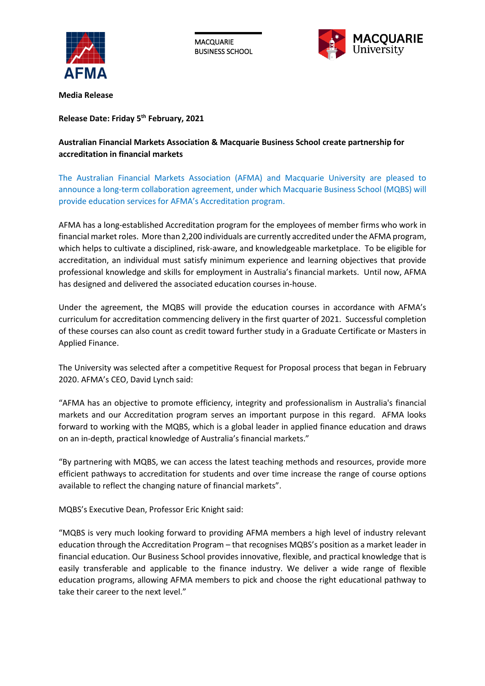

**MACQUARIE** BUSINESS SCHOOL



**Media Release**

**Release Date: Friday 5th February, 2021**

## **Australian Financial Markets Association & Macquarie Business School create partnership for accreditation in financial markets**

The Australian Financial Markets Association (AFMA) and Macquarie University are pleased to announce a long-term collaboration agreement, under which Macquarie Business School (MQBS) will provide education services for AFMA's Accreditation program.

AFMA has a long-established Accreditation program for the employees of member firms who work in financial market roles. More than 2,200 individuals are currently accredited under the AFMA program, which helps to cultivate a disciplined, risk-aware, and knowledgeable marketplace. To be eligible for accreditation, an individual must satisfy minimum experience and learning objectives that provide professional knowledge and skills for employment in Australia's financial markets. Until now, AFMA has designed and delivered the associated education courses in-house.

Under the agreement, the MQBS will provide the education courses in accordance with AFMA's curriculum for accreditation commencing delivery in the first quarter of 2021. Successful completion of these courses can also count as credit toward further study in a Graduate Certificate or Masters in Applied Finance.

The University was selected after a competitive Request for Proposal process that began in February 2020. AFMA's CEO, David Lynch said:

"AFMA has an objective to promote efficiency, integrity and professionalism in Australia's financial markets and our Accreditation program serves an important purpose in this regard. AFMA looks forward to working with the MQBS, which is a global leader in applied finance education and draws on an in-depth, practical knowledge of Australia's financial markets."

"By partnering with MQBS, we can access the latest teaching methods and resources, provide more efficient pathways to accreditation for students and over time increase the range of course options available to reflect the changing nature of financial markets".

MQBS's Executive Dean, Professor Eric Knight said:

"MQBS is very much looking forward to providing AFMA members a high level of industry relevant education through the Accreditation Program – that recognises MQBS's position as a market leader in financial education. Our Business School provides innovative, flexible, and practical knowledge that is easily transferable and applicable to the finance industry. We deliver a wide range of flexible education programs, allowing AFMA members to pick and choose the right educational pathway to take their career to the next level."